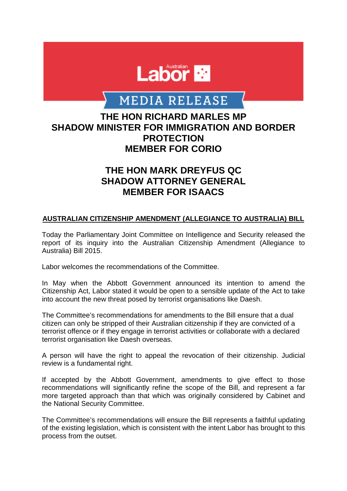

# **MEDIA RELEASE**

### **THE HON RICHARD MARLES MP SHADOW MINISTER FOR IMMIGRATION AND BORDER PROTECTION MEMBER FOR CORIO**

## **THE HON MARK DREYFUS QC SHADOW ATTORNEY GENERAL MEMBER FOR ISAACS**

### **AUSTRALIAN CITIZENSHIP AMENDMENT (ALLEGIANCE TO AUSTRALIA) BILL**

Today the Parliamentary Joint Committee on Intelligence and Security released the report of its inquiry into the Australian Citizenship Amendment (Allegiance to Australia) Bill 2015.

Labor welcomes the recommendations of the Committee.

In May when the Abbott Government announced its intention to amend the Citizenship Act, Labor stated it would be open to a sensible update of the Act to take into account the new threat posed by terrorist organisations like Daesh.

The Committee's recommendations for amendments to the Bill ensure that a dual citizen can only be stripped of their Australian citizenship if they are convicted of a terrorist offence or if they engage in terrorist activities or collaborate with a declared terrorist organisation like Daesh overseas.

A person will have the right to appeal the revocation of their citizenship. Judicial review is a fundamental right.

If accepted by the Abbott Government, amendments to give effect to those recommendations will significantly refine the scope of the Bill, and represent a far more targeted approach than that which was originally considered by Cabinet and the National Security Committee.

The Committee's recommendations will ensure the Bill represents a faithful updating of the existing legislation, which is consistent with the intent Labor has brought to this process from the outset.